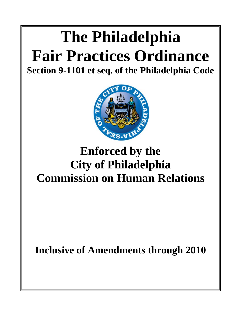# **The Philadelphia Fair Practices Ordinance**

**Section 9-1101 et seq. of the Philadelphia Code**



# **Enforced by the City of Philadelphia Commission on Human Relations**

**Inclusive of Amendments through 2010**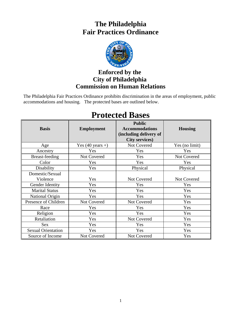# **The Philadelphia Fair Practices Ordinance**



## **Enforced by the City of Philadelphia Commission on Human Relations**

The Philadelphia Fair Practices Ordinance prohibits discrimination in the areas of employment, public accommodations and housing. The protected bases are outlined below.

#### **Basis Employment Public Accommodations (including delivery of City services) Housing**  Age Yes (40 years +) Not Covered Yes (no limit) Ancestry **Property** Yes Yes Yes Yes Yes Breast-feeding Not Covered Yes Not Covered Color | Yes | Yes | Yes Disability  $Yes$  Physical Physical Physical Domestic/Sexual Violence Yes Not Covered Not Covered Not Covered Gender Identity | Yes | Yes | Yes | Yes Marital Status Yes Yes Yes Yes Yes National Origin  $Y$ es Yes Yes Yes Yes Presence of Children Not Covered Not Covered Yes Race  $Y$ es Yes Yes Yes Yes Religion | Yes | Yes Yes Yes Retaliation Ves Not Covered Yes Sex Yes Yes Yes Sexual Orientation  $Y$ es  $Y$ es  $Y$ es  $Y$ es  $Y$ es Source of Income Not Covered Not Covered Yes

# **Protected Bases**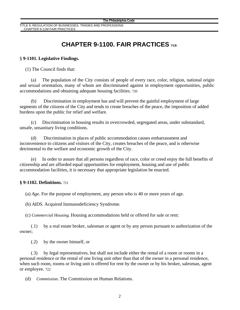TITLE 9, REGULATION OF BUSINESSES. TRADES AND PROFESSIONS CHAPTER 9-11M FAIR PRACTICES

# **CHAPTER 9-1100. FAIR PRACTICES <sup>719</sup>**

#### § **9-1101. Legislative Findings.**

(1) The Council finds that:

(a) The population of the City consists of people of every race, color, religion, national origin and sexual orientation, many of whom are discriminated against in employment opportunities, public accommodations and obtaining adequate housing facilities. 720

(b) Discrimination in employment has and will prevent the gainful employment of large segments of the citizens of the City and tends to create breaches of the peace, the imposition of added burdens upon the public for relief and welfare.

(c) Discrimination in housing results in overcrowded, segregated areas, under substandard, unsafe, unsanitary living conditions.

(d) Discrimination in places of public accommodation causes embarrassment and inconvenience to citizens and visitors of the City, creates breaches of the peace, and is otherwise detrimental to the welfare and economic growth of the City.

(e) In order to assure that all persons regardless of race, color or creed enjoy the full benefits of citizenship and are afforded equal opportunities for employment, housing and use of public accommodation facilities, it is necessary that appropriate legislation be enacted.

#### **§ 9-1102. Definitions.** 721

(a) *Age.* For the purpose of employment, any person who is 40 or more years of age.

(b) *AIDS.* Acquired Immunodeficiency Syndrome.

(c) *Commercial Housing.* Housing accommodations held or offered for sale or rent:

(.1) by a real estate broker, salesman or agent or by any person pursuant to authorization of the owner;

(.2) by the owner himself, or

(.3) by legal representatives, but shall not include either the rental of a room or rooms in a personal residence or the rental of one living unit other than that of the owner in a personal residence, when such room, rooms or living unit is offered for rent by the owner or by his broker, salesman, agent or employee. 722

(d) *Commission.* The Commission on Human Relations.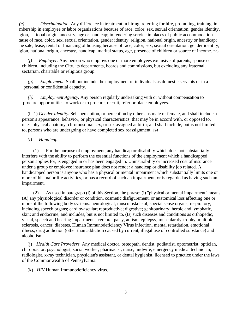*(e) Discrimination.* Any difference in treatment in hiring, referring for hire, promoting, training, in mbership in employee or labor organizations because of race, color, sex, sexual orientation, gender identity, igion, national origin, ancestry, age or handicap; in rendering service in places of public accommodation cause of race, color, sex, sexual orientation, gender identity, religion, national origin, ancestry or handicap; the sale, lease, rental or financing of housing because of race, color, sex, sexual orientation, gender identity, igion, national origin, ancestry, handicap, marital status, age, presence of children or source of income. 723

*(f) Employer.* Any person who employs one or more employees exclusive of parents, spouse or children, including the City, its departments, boards and commissions, but excluding any fraternal, sectarian, charitable or religious group.

*(g) Employment.* Shall not include the employment of individuals as domestic servants or in a personal or confidential capacity.

*(h) Employment Agency.* Any person regularly undertaking with or without compensation to procure opportunities to work or to procure, recruit, refer or place employees.

(h. 1) *Gender Identity.* Self-perception, or perception by others, as male or female, and shall include a person's appearance, behavior, or physical characteristics, that may be in accord with, or opposed to, one's physical anatomy, chromosomal sex, or sex assigned at birth; and shall include, but is not limited to, persons who are undergoing or have completed sex reassignment. 724

#### *(i) Handicap.*

(1) For the purpose of employment, any handicap or disability which does not substantially interfere with the ability to perform the essential functions of the employment which a handicapped person applies for, is engaged in or has been engaged in. Uninsurability or increased cost of insurance under a group or employee insurance plan does not render a handicap or disability job related. A handicapped person is anyone who has a physical or mental impairment which substantially limits one or more of his major life activities, or has a record of such an impairment, or is regarded as having such an impairment.

(2) As used in paragraph (i) of this Section, the phrase: (i) "physical or mental impairment" means (A) any physiological disorder or condition, cosmetic disfigurement, or anatomical loss affecting one or more of the following body systems: neurological; musculoskeletal; special sense organs; respiratory; including speech organs; cardiovascular; reproductive; digestive; genitourinary; heroic and lymphatic, skin; and endocrine; and includes, but is not limited to, (B) such diseases and conditions as orthopedic, visual, speech and hearing impairments, cerebral palsy, autism, epilepsy, muscular dystrophy, multiple sclerosis, cancer, diabetes, Human Immunodeficiency Virus infection, mental retardation, emotional illness, drug addiction (other than addiction caused by current, illegal use of controlled substance) and alcoholism.

(j) *Health Care Providers.* Any medical doctor, osteopath, dentist, podiatrist, optometrist, optician, chiropractor, psychologist, social worker, pharmacist, nurse, midwife, emergency medical technician, radiologist, x-ray technician, physician's assistant, or dental hygienist, licensed to practice under the laws of the Commonwealth of Pennsylvania.

(k) *HIV* Human Immunodeficiency virus.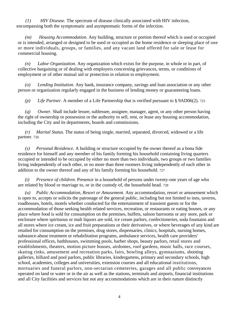*(1) HIV Disease.* The spectrum of disease clinically associated with HIV infection, encompassing both the symptomatic and asymptomatic forms of the infection.

*(m) Housing Accommodation.* Any building, structure or portion thereof which is used or occupied or is intended, arranged or designed to be used or occupied as the home residence or sleeping place of one or more individuals, groups, or families, and any vacant land offered for sale or lease for commercial housing.

*(n) Labor Organization.* Any organization which exists for the purpose, in whole or in part, of collective bargaining or of dealing with employers concerning grievances, terms, or conditions of employment or of other mutual aid or protection in relation to employment.

*(o) Lending Institution.* Any bank, insurance company, savings and loan association or any other person or organization regularly engaged in the business of lending money or guaranteeing loans.

*(p) Life Partner.* A member of a Life Partnership that is verified pursuant to § 9AD06(2). 725

*(q) Owner.* Shall include lessee, sublessee, assignee, manager, agent, or any other person having the right of ownership or possession or the authority to sell, rent, or lease any housing accommodation, including the City and its departments, boards and commissions.

*(r) Marital Status.* The status of being single, married, separated, divorced, widowed or a life partner. 726

*(s) Personal Residence.* A building or structure occupied by the owner thereof as a bona fide residence for himself and any member of his family forming his household containing living quarters occupied or intended to be occupied by either no more than two individuals, two groups or two families living independently of each other, or no more than three roomers living independently of each other in addition to the owner thereof and any of his family forming his household. 727

*(t) Presence of children.* Presence in a household of persons under twenty-one years of age who are related by blood or marriage to, or in the custody of, the household head. 728

*(u) Public Accommodation, Resort or Amusement.* Any accommodation, resort or amusement which is open to, accepts or solicits the patronage of the general public, including but not limited to inns, taverns, roadhouses, hotels, motels whether conducted for the entertainment of transient guests or for the accommodation of those seeking health related services, recreation, or restaurants or eating houses, or any place where food is sold for consumption on the premises, buffets, saloon barrooms or any store, park or enclosure where spirituous or malt liquors are sold, ice cream parlors, confectioneries, soda fountains and all stores where ice cream, ice and fruit preparations or their derivatives, or where beverages of any kind are retailed for consumption on the premises, drug stores, dispensaries, clinics, hospitals, nursing homes, substance-abuse treatment or rehabilitation programs, ambulance services, health care providers' professional offices, bathhouses, swimming pools, barber shops, beauty parlors, retail stores and establishments, theaters, motion picture houses, airdomes, roof gardens, music halls, race courses, skating rinks, amusement and recreation parks, fairs, bowling alleys, gymnasiums, shooting galleries, billiard and pool parlors, public libraries, kindergartens, primary and secondary schools, high school, academies, colleges and universities, extension courses and all educational institutions, mortuaries and funeral parlors, non-sectarian cemeteries, garages and all public conveyances operated on land or water or in the air as well as the stations, terminals and airports, financial institutions and all City facilities and services but not any accommodations which are in their nature distinctly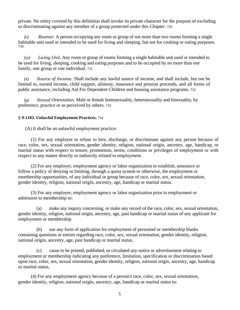private. No entity covered by this definition shall invoke its private character for the purpose of excluding or discriminating against any member of a group protected under this Chapter. 729

*(v) Roomer.* A person occupying any room or group of not more than two rooms forming a single habitable unit used or intended to be used for living and sleeping, but not for cooking or eating purposes. 730

*(w) Living Unit.* Any room or group of rooms forming a single habitable unit used or intended to be used for living, sleeping, cooking and eating purposes and to be occupied by no more than one family, one group or one individual. 731

*(x) Source of Income.* Shall include any lawful source of income, and shall include, but not be limited to, earned income, child support, alimony, insurance and pension proceeds, and all forms of public assistance, including Aid For Dependent Children and housing assistance programs. 732

*(y) Sexual Orientation.* Male or female homosexuality, heterosexuality and bisexuality, by preference, practice or as perceived by others. 733

#### § **9-1103. Unlawful Employment Practices.** 734

(A) It shall be an unlawful employment practice:

(1) For any employer to refuse to hire, discharge, or discriminate against any person because of race, color, sex, sexual orientation, gender identity, religion, national origin, ancestry, age, handicap, or marital status with respect to tenure, promotions, terms, conditions or privileges of employment or with respect to any matter directly or indirectly related to employment.

(2) For any employer, employment agency or labor organization to establish, announce or follow a policy of denying or limiting, through a quota system or otherwise, the employment or membership opportunities, of any individual or group because of race, color, sex, sexual orientation, gender identity, religion, national origin, ancestry, age, handicap or marital status.

(3) For any employer, employment agency or labor organization prior to employment or admission to membership to:

(a) make any inquiry concerning, or make any record of the race, color, sex, sexual orientation, gender identity, religion, national origin, ancestry, age, past handicap or marital status of any applicant for employment or membership.

(b) use any form of application for employment of personnel or membership blanks containing questions or entries regarding race, color, sex, sexual orientation, gender identity, religion, national origin, ancestry, age, past handicap or marital status.

(c) cause to be printed, published, or circulated any notice or advertisement relating to employment or membership indicating any preference, limitation, specification or discrimination based upon race, color, sex, sexual orientation, gender identity, religion, national origin, ancestry, age, handicap or marital status.

(4) For any employment agency because of a person's race, color, sex, sexual orientation, gender identity, religion, national origin, ancestry, age, handicap or marital status to: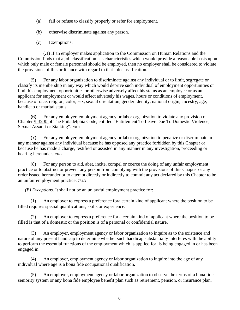- (a) fail or refuse to classify properly or refer for employment.
- (b) otherwise discriminate against any person.
- (c) Exemptions:

(.1) If an employer makes application to the Commission on Human Relations and the Commission finds that a job classification has characteristics which would provide a reasonable basis upon which only male or female personnel should be employed, then no employer shall be considered to violate the provisions of this ordinance with regard to that job classification.

(5) For any labor organization to discriminate against any individual or to limit, segregate or classify its membership in any way which would deprive such individual of employment opportunities or limit his employment opportunities or otherwise adversely affect his status as an employee or as an applicant for employment or would affect adversely his wages, hours or conditions of employment, because of race, religion, color, sex, sexual orientation, gender identity, national origin, ancestry, age, handicap or marital status.

(6) For any employer, employment agency or labor organization to violate any provision of Chapter 9-3200 of The Philadelphia Code, entitled "Entitlement To Leave Due To Domestic Violence, Sexual Assault or Stalking". 734.1

(7) For any employer, employment agency or labor organization to penalize or discriminate in any manner against any individual because he has opposed any practice forbidden by this Chapter or because he has made a charge, testified or assisted in any manner in any investigation, proceeding or hearing hereunder. 734.2

(8) For any person to aid, abet, incite, compel or coerce the doing of any unfair employment practice or to obstruct or prevent any person from complying with the provisions of this Chapter or any order issued hereunder or to attempt directly or indirectly to commit any act declared by this Chapter to be an unfair employment practice. 734.3

*(B) Exceptions.* It shall not be an unlawful employment practice for:

(1) An employer to express a preference fora certain kind of applicant where the position to be filled requires special qualifications, skills or experience.

(2) An employer to express a preference for a certain kind of applicant where the position to be filled is that of a domestic or the position is of a personal or confidential nature.

(3) An employer, employment agency or labor organization to inquire as to the existence and nature of any present handicap to determine whether such handicap substantially interferes with the ability to perform the essential functions of the employment which is applied for, is being engaged in or has been engaged in.

(4) An employer, employment agency or labor organization to inquire into the age of any individual where age is a bona fide occupational qualification.

(5) An employer, employment agency or labor organization to observe the terms of a bona fide seniority system or any bona fide employee benefit plan such as retirement, pension, or insurance plan,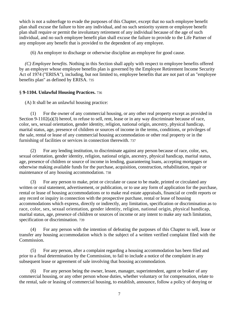which is not a subterfuge to evade the purposes of this Chapter, except that no such employee benefit plan shall excuse the failure to hire any individual, and no such seniority system or employee benefit plan shall require or permit the involuntary retirement of any individual because of the age of such individual, and no such employee benefit plan shall excuse the failure to provide to the Life Partner of any employee any benefit that is provided to the dependent of any employee.

(6) An employer to discharge or otherwise discipline an employee for good cause.

*(C) Employee benefits.* Nothing in this Section shall apply with respect to employee benefits offered by an employer whose employee benefits plan is governed by the Employee Retirement Income Security Act of 1974 ("ERISA"), including, but not limited to, employee benefits that are not part of an "employee benefits plan" as defined by ERISA. 735

#### § **9-1104. Unlawful Housing Practices.** 736

(A) It shall be an unlawful housing practice:

(1) For the owner of any commercial housing, or any other real property except as provided in Section 9-1102(a)(3) hereof, to refuse to sell, rent, lease or in any way discriminate because of race, color, sex, sexual orientation, gender identity, religion, national origin, ancestry, physical handicap, marital status, age, presence of children or sources of income in the terms, conditions, or privileges of the sale, rental or lease of any commercial housing accommodation or other real property or in the furnishing of facilities or services in connection therewith. 737

(2) For any lending institution, to discriminate against any person because of race, color, sex, sexual orientation, gender identity, religion, national origin, ancestry, physical handicap, marital status, age, presence of children or source of income in lending, guaranteeing loans, accepting mortgages or otherwise making available funds for the purchase, acquisition, construction, rehabilitation, repair or maintenance of any housing accommodation. 738

(3) For any person to make, print or circulate or cause to be made, printed or circulated any written or oral statement, advertisement, or publication, or to use any form of application for the purchase, rental or lease of housing accommodations or to make real estate appraisals, financial or credit reports or any record or inquiry in connection with the prospective purchase, rental or lease of housing accommodations which express, directly or indirectly, any limitation, specification or discrimination as to race, color, sex, sexual orientation, gender identity, religion, national origin, physical handicap, marital status, age, presence of children or sources of income or any intent to make any such limitation, specification or discrimination. 739

(4) For any person with the intention of defeating the purposes of this Chapter to sell, lease or transfer any housing accommodation which is the subject of a written verified complaint filed with the Commission.

(5) For any person, after a complaint regarding a housing accommodation has been filed and prior to a final determination by the Commission, to fail to include a notice of the complaint in any subsequent lease or agreement of sale involving that housing accommodation.

(6) For any person being the owner, lessee, manager, superintendent, agent or broker of any commercial housing, or any other person whose duties, whether voluntary or for compensation, relate to the rental, sale or leasing of commercial housing, to establish, announce, follow a policy of denying or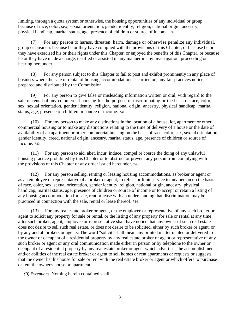limiting, through a quota system or otherwise, the housing opportunities of any individual or group because of race, color, sex, sexual orientation, gender identity, religion, national origin, ancestry, physical handicap, marital status, age, presence of children or source of income. 740

(7) For any person to harass, threaten, harm, damage or otherwise penalize any individual, group or business because he or they have complied with the provisions of this Chapter, or because he or they have exercised his or their rights under this Chapter, or enjoyed the benefits of this Chapter, or because he or they have made a charge, testified or assisted in any manner in any investigation, proceeding or hearing hereunder.

(8) For any person subject to this Chapter to fail to post and exhibit prominently in any place of business where the sale or rental of housing accommodations is carried on, any fair practices notice prepared and distributed by the Commission.

(9) For any person to give false or misleading information written or oral, with regard to the sale or rental of any commercial housing for the purpose of discriminating or the basis of race, color, sex, sexual orientation, gender identity, religion, national origin, ancestry, physical handicap, marital status, age, presence of children or source of income. 741

(10) For any person to make any distinctions in the location of a house, lot, apartment or other commercial housing or to make any distinctions relating to the time of delivery of a house or the date of availability of an apartment or other commercial housing on the basis of race, color, sex, sexual orientation, gender identity, creed, national origin, ancestry, marital status, age, presence of children or source of income. 742

(11) For any person to aid, abet, incur, induce, compel or coerce the doing of any unlawful housing practice prohibited by this Chapter or to obstruct or prevent any person from complying with the provisions of this Chapter or any order issued hereunder. 743

(12) For any person selling, renting or leasing housing accommodations, as broker or agent or as an employee or representative of a broker or agent, to refuse or limit service to any person on the basis of race, color, sex, sexual orientation, gender identity, religion, national origin, ancestry, physical handicap, marital status, age, presence of children or source of income or to accept or retain a listing of any housing accommodation for sale, rent or lease with an understanding that discrimination may be practiced in connection with the sale, rental or lease thereof. 744

(13) For any real estate broker or agent, or the employee or representative of any such broker or agent to solicit any property for sale or rental, or the listing of any property for sale or rental at any time after such broker, agent, employee or representative shall have notice that any owner of such real estate does not desire to sell such real estate, or does not desire to be solicited, either by such broker or agent, or by any and all brokers or agents. The word "solicit" shall mean any printed matter mailed or delivered to the owner or occupant of a residential property by any real estate broker or agent or representative of any such broker or agent or any oral communication made either in person or by telephone to the owner or occupant of a residential property by any real estate broker or agent which advertises the accomplishments and/or abilities of the real estate broker or agent to sell homes or rent apartments or requests or suggests that the owner list his house for sale or rent with the real estate broker or agent or which offers to purchase or rent the owner's house or apartment.

*(B) Exceptions.* Nothing herein contained shall: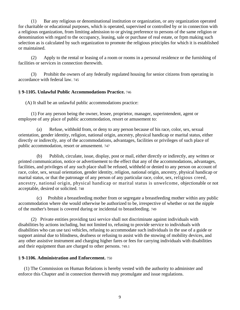(1) Bar any religious or denominational institution or organization, or any organization operated for charitable or educational purposes, which is operated, supervised or controlled by or in connection with a religious organization, from limiting admission to or giving preference to persons of the same religion or denomination with regard to the occupancy, leasing, sale or purchase of real estate, or frpm making such selection as is calculated by such organization to promote the religious principles for which it is established or maintained.

(2) Apply to the rental or leasing of a room or rooms in a personal residence or the furnishing of facilities or services in connection therewith.

(3) Prohibit the owners of any federally regulated housing for senior citizens from operating in accordance with federal law. 745

#### § **9-1105. Unlawful Public Accommodations Practice.** 746

(A) It shall be an unlawful public accommodations practice:

(1) For any person being the owner, lessee, proprietor, manager, superintendent, agent or employee of any place of public accommodation, resort or amusement to:

(a) Refuse, withhold from, or deny to any person because of his race, color, sex, sexual orientation, gender identity, religion, national origin, ancestry, physical handicap or marital status, either directly or indirectly, any of the accommodations, advantages, facilities or privileges of such place of public accommodation, resort or amusement. 747

(b) Publish, circulate, issue, display, post or mail, either directly or indirectly, any written or printed communication, notice or advertisement to the effect that any of the accommodations, advantages, facilities, and privileges of any such place shall be refused, withheld or denied to any person on account of race, color, sex, sexual orientation, gender identity, religion, national origin, ancestry, physical handicap or marital status, or that the patronage of any person of any particular race, color, sex, religious creed, ancestry, national origin, physical handicap or marital status is unwelcome, objectionable or not acceptable, desired or solicited. 748

(c) Prohibit a breastfeeding mother from or segregate a breastfeeding mother within any public accommodation where she would otherwise be authorized to be, irrespective of whether or not the nipple of the mother's breast is covered during or incidental to breastfeeding. 749

(2) Private entities providing taxi service shall not discriminate against individuals with disabilities by actions including, but not limited to, refusing to provide service to individuals with disabilities who can use taxi vehicles, refusing to accommodate such individuals in the use of a guide or support animal due to blindness, deafness or refusing to assist with the stowing of mobility devices, and any other assistive instrument and charging higher fares or fees for carrying individuals with disabilities and their equipment than are charged to other persons. 749.1

#### § **9-1106. Administration and Enforcement.** 750

(1) The Commission on Human Relations is hereby vested with the authority to administer and enforce this Chapter and in connection therewith may promulgate and issue regulations.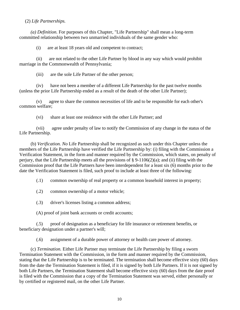#### (2) *Life Partnerships.*

*(a) Definition.* For purposes of this Chapter, "Life Partnership" shall mean a long-term committed relationship between two unmarried individuals of the same gender who:

(i) are at least 18 years old and competent to contract;

(ii) are not related to the other Life Partner by blood in any way which would prohibit marriage in the Commonwealth of Pennsylvania;

(iii) are the sole Life Partner of the other person;

(iv) have not been a member of a different Life Partnership for the past twelve months (unless the prior Life Partnership ended as a result of the death of the other Life Partner);

(v) agree to share the common necessities of life and to be responsible for each other's common welfare;

(vi) share at least one residence with the other Life Partner; and

(vii) agree under penalty of law to notify the Commission of any change in the status of the Life Partnership.

(b) *Verification. No* Life Partnership shall be recognized as such under this Chapter unless the members of the Life Partnership have verified the Life Partnership by: (i) filing with the Commission a Verification Statement, in the form and manner required by the Commission, which states, on penalty of perjury, that the Life Partnership meets all the provisions of § 9-1106(2)(a); and (ii) filing with the Commission proof that the Life Partners have been interdependent for a least six (6) months prior to the date the Verification Statement is filed, such proof to include at least three of the following:

(.1) common ownership of real property or a common leasehold interest in property;

- (.2) common ownership of a motor vehicle;
- (.3) driver's licenses listing a common address;

(A) proof of joint bank accounts or credit accounts;

(.5) proof of designation as a beneficiary for life insurance or retirement benefits, or beneficiary designation under a partner's will;

(.6) assignment of a durable power of attorney or health care power of attorney.

(c) *Termination.* Either Life Partner may terminate the Life Partnership by filing a sworn Termination Statement with the Commission, in the form and manner required by the Commission, stating that the Life Partnership is to be terminated. The termination shall become effective sixty (60) days from the date the Termination Statement is filed, if it is signed by both Life Partners. If it is not signed by both Life Partners, the Termination Statement shall become effective sixty (60) days from the date proof is filed with the Commission that a copy of the Termination Statement was served, either personally or by certified or registered mail, on the other Life Partner.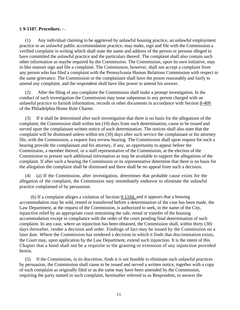#### § 9-1107. Procedure. **<sup>51</sup>**

(1) Any individual claiming to be aggrieved by unlawful housing practice, an unlawful employment practice or an unlawful public accommodation practice, may make, sign and file with the Commission a verified complaint in writing which shall state the name and address of the person or persons alleged to have committed the unlawful practice and the particulars thereof. The complaint shall also contain such other information as maybe required by the Commission. The Commission, upon its own initiative, may in like manner sign and file a complaint. The Commission, however, shall not accept a complaint from any person who has filed a complaint with the Pennsylvania Human Relations Commission with respect to the same grievance. The Commission or the complainant shall have the power reasonably and fairly to amend any complaint, and the respondent shall have like power to amend his answer.

(2) After the filing of any complaint the Commission shall make a prompt investigation. In the conduct of such investigation the Commission may issue subpoenas to any person charged with an unlawful practice to furnish information, records or other documents in accordance with Section 8-409 of the Philadelphia Home Rule Charter.

(3) If it shall be determined after such investigation that there is no basis for the allegations of the complaint, the Commission shall within ten (10) days from such determination, cause to be issued and served upon the complainant written notice of such determination. The notices shall also state that the complaint will be dismissed unless within ten (10) days after such service the complainant or his attorney file, with the Commission, a request fora review hearing. The Commission shall upon request for such a hearing provide the complainant and his attorney, if any, an opportunity to appear before the Commission, a member thereof, or a staff representative of the Commission, at the election of the Commission to present such additional information as may be available to support the allegations of the complaint. If after such a hearing the Commission or its representative determine that there is no basis for the allegation the complaint shall be dismissed and there shall be no appeal from such a decision.

(4) (a) If the Commission, after investigation, determines that probable cause exists for the allegation of the complaint, the Commission may immediately endeavor to eliminate the unlawful practice complained of by persuasion.

(b) If a complaint alleges a violation of Section 9-1104, and it appears that a housing accommodation may be sold, rented or transferred before a determination of the case has been made, the Law Department, at the request of the Commission, is authorized to seek, in the name of the City, injunctive relief by an appropriate court restraining the sale, rental or transfer of the housing accommodation except in compliance with the order of the court pending final determination of such complaint. In any case, where an injunction has been obtained, the Commission shall, within thirty (30) days thereafter, render a decision and order. Findings of fact may be issued by the Commission on a later date. Where the Commission has rendered a decision in which it finds that discrimination exists, the Court may, upon application by the Law Department, extend such injunction. It is the intent of this Chapter that a bond shall not be a requisite to the granting or extension of any injunction provided herein.

(5) If the Commission, in its discretion, finds it is not feasible to eliminate such unlawful practices by persuasion, the Commission shall cause to be issued and served a written notice, together with a copy of such complaint as originally filed or as the same may have been amended by the Commission, requiring the party named in such complaint, hereinafter referred to as Respondent, to answer the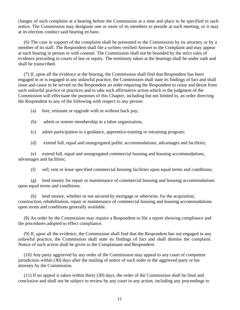charges of such complaint at a hearing before the Commission at a time and place to be specified in such notice. The Commission may designate one or more of its members to preside at such meeting, or it may at its election conduct said hearing en banc.

(6) The case in support of the complaint shall be presented to the Commission by its attorney or by a member of its staff. The Respondent shall file a written verified Answer to the Complaint and may appear at such hearing in person or with counsel. The Commission shall not be bounded by the strict rules of evidence prevailing in courts of law or equity. The testimony taken at the hearings shall be under oath and shall be transcribed.

(7) If, upon all the evidence at the hearing, the Commission shall find that Respondent has been engaged in or is engaged in any unlawful practice, the Commission shall state its findings of fact and shall issue and cause to be served on the Respondent an order requiring the Respondent to cease and desist from such unlawful practice or practices and to take such affirmative action which in the judgment of the Commission will effectuate the purposes of this Chapter, including but not limited to, an order directing the Respondent to any of the following with respect to any person:

- (a) hire, reinstate or upgrade with or without back pay;
- (b) admit or restore membership in a labor organization;
- (c) admit participation in a guidance, apprentice-training or retraining program;
- (d) extend full, equal and unsegregated public accommodations, advantages and facilities;

(e) extend full, equal and unsegregated commercial housing and housing accommodations, advantages and facilities;

(f) sell, rent or lease specified commercial housing facilities upon equal terms and conditions;

(g) lend money for repair or maintenance of commercial housing and housing accommodations upon equal terms and conditions;

(h) lend money, whether or not secured by mortgage or otherwise, for the acquisition, construction, rehabilitation, repair or maintenance of commercial housing and housing accommodations upon terms and conditions generally available.

(8) An order by the Commission may require a Respondent to file a report showing compliance and the procedures adopted to effect compliance.

(9) If, upon all the evidence, the Commission shall find that the Respondent has not engaged in any unlawful practice, the Commission shall state its findings of fact and shall dismiss the complaint. Notice of such action shall be given to the Complainant and Respondent.

(10) Any party aggrieved by any order of the Commission may appeal to any court of competent jurisdiction within (30) days after the mailing of notice of such order to the aggrieved party or his attorney by the Commission.

(11) If no appeal is taken within thirty (30) days, the order of the Commission shall be final and conclusive and shall not be subject to review by any court in any action, including any proceedings to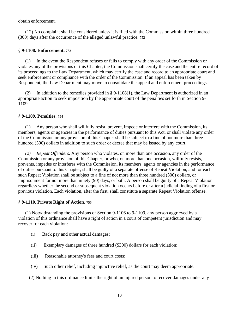obtain enforcement.

(12) No complaint shall be considered unless it is filed with the Commission within three hundred (300) days after the occurrence of the alleged unlawful practice. 752

#### § **9-1108. Enforcement.** 753

(1) In the event the Respondent refuses or fails to comply with any order of the Commission or violates any of the provisions of this Chapter, the Commission shall certify the case and the entire record of its proceedings to the Law Department, which may certify the case and record to an appropriate court and seek enforcement or compliance with the order of the Commission. If an appeal has been taken by Respondent, the Law Department may move to consolidate the appeal and enforcement proceedings.

(2) In addition to the remedies provided in  $\S 9-1108(1)$ , the Law Department is authorized in an appropriate action to seek imposition by the appropriate court of the penalties set forth in Section 9- 1109.

#### § **9-1109. Penalties.** 754

(1) Any person who shall willfully resist, prevent, impede or interfere with the Commission, its members, agents or agencies in the performance of duties pursuant to this Act, or shall violate any order of the Commission or any provision of this Chapter shall be subject to a fine of not more than three hundred (300) dollars in addition to such order or decree that may be issued by any court.

*(2) Repeat Offenders.* Any person who violates, on more than one occasion, any order of the Commission or any provision of this Chapter, or who, on more than one occasion, willfully resists, prevents, impedes or interferes with the Commission, its members, agents or agencies in the performance of duties pursuant to this Chapter, shall be guilty of a separate offense of Repeat Violation, and for each such Repeat Violation shall be subject to a fine of not more than three hundred (300) dollars, or imprisonment for not more than ninety (90) days, or both. A person shall be guilty of a Repeat Violation regardless whether the second or subsequent violation occurs before or after a judicial finding of a first or previous violation. Each violation, after the first, shall constitute a separate Repeat Violation offense.

#### § **9-1110. Private Right of Action.** 755

(1) Notwithstanding the provisions of Section 9-1106 to 9-1109, any person aggrieved by a violation of this ordinance shall have a right of action in a court of competent jurisdiction and may recover for each violation:

- (i) Back pay and other actual damages;
- (ii) Exemplary damages of three hundred (\$300) dollars for each violation;
- (iii) Reasonable attorney's fees and court costs;
- (iv) Such other relief, including injunctive relief, as the court may deem appropriate.

(2) Nothing in this ordinance limits the right of an injured person to recover damages under any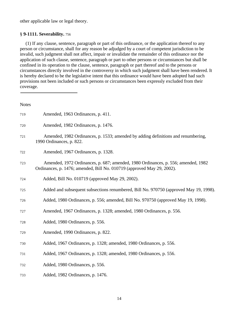other applicable law or legal theory.

#### § **9-1111. Severability.** 756

(1) If any clause, sentence, paragraph or part of this ordinance, or the application thereof to any person or circumstance, shall for any reason be adjudged by a court of competent jurisdiction to be invalid, such judgment shall not affect, impair or invalidate the remainder of this ordinance nor the application of such clause, sentence, paragraph or part to other persons or circumstances but shall be confined in its operation to the clause, sentence, paragraph or part thereof and to the persons or circumstances directly involved in the controversy in which such judgment shall have been rendered. It is hereby declared to be the legislative intent that this ordinance would have been adopted had such provisions not been included or such persons or circumstances been expressly excluded from their coverage.

| <b>Notes</b> |                                                                                                                                                             |
|--------------|-------------------------------------------------------------------------------------------------------------------------------------------------------------|
| 719          | Amended, 1963 Ordinances, p. 411.                                                                                                                           |
| 720          | Amended, 1982 Ordinances, p. 1476.                                                                                                                          |
| 721          | Amended, 1982 Ordinances, p. 1533; amended by adding definitions and renumbering,<br>1990 Ordinances, p. 822.                                               |
| 722          | Amended, 1967 Ordinances, p. 1328.                                                                                                                          |
| 723          | Amended, 1972 Ordinances, p. 687; amended, 1980 Ordinances, p. 556; amended, 1982<br>Ordinances, p. 1476; amended, Bill No. 010719 (approved May 29, 2002). |
| 724          | Added, Bill No. 010719 (approved May 29, 2002).                                                                                                             |
| 725          | Added and subsequent subsections renumbered, Bill No. 970750 (approved May 19, 1998).                                                                       |
| 726          | Added, 1980 Ordinances, p. 556; amended, Bill No. 970750 (approved May 19, 1998).                                                                           |
| 727          | Amended, 1967 Ordinances, p. 1328; amended, 1980 Ordinances, p. 556.                                                                                        |
| 728          | Added, 1980 Ordinances, p. 556.                                                                                                                             |
| 729          | Amended, 1990 Ordinances, p. 822.                                                                                                                           |
| 730          | Added, 1967 Ordinances, p. 1328; amended, 1980 Ordinances, p. 556.                                                                                          |
| 731          | Added, 1967 Ordinances, p. 1328; amended, 1980 Ordinances, p. 556.                                                                                          |
| 732          | Added, 1980 Ordinances, p. 556.                                                                                                                             |
| 733          | Added, 1982 Ordinances, p. 1476.                                                                                                                            |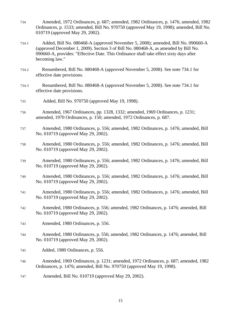- 734 Amended, 1972 Ordinances, p. 687; amended, 1982 Ordinances, p. 1476; amended, 1982 Ordinances, p. 1533; amended, Bill No. 970750 (approved May 19, 1998); amended, Bill No. 010719 (approved May 29, 2002).
- 734.1 Added, Bill No. 080468-A (approved November 5, 2008); amended, Bill No. 090660-A (approved December 1, 2009). Section 3 of Bill No. 080468-A, as amended by Bill No. 090660-A, provides: "Effective Date. This Ordinance shall take effect sixty days after becoming law."
- 734.2 Renumbered, Bill No. 080468-A (approved November 5, 2008). See note 734.1 for effective date provisions.
- 734.3 Renumbered, Bill No. 080468-A (approved November 5, 2008). See note 734.1 for effective date provisions.
- 735 Added, Bill No. 970750 (approved May 19, 1998).
- 736 Amended, 1967 Ordinances, pp. 1328, 1332; amended, 1969 Ordinances, p. 1231; amended, 1970 Ordinances, p. 150; amended, 1972 Ordinances, p. 687.
- 737 Amended, 1980 Ordinances, p. 556; amended, 1982 Ordinances, p. 1476; amended, Bill No. 010719 (approved May 29, 2002).
- 738 Amended, 1980 Ordinances, p. 556; amended, 1982 Ordinances, p. 1476; amended, Bill No. 010719 (approved May 29, 2002).
- 739 Amended, 1980 Ordinances, p. 556; amended, 1982 Ordinances, p. 1476; amended, Bill No. 010719 (approved May 29, 2002).
- 740 Amended, 1980 Ordinances, p. 556; amended, 1982 Ordinances, p. 1476; amended, Bill No. 010719 (approved May 29, 2002).
- 741 Amended, 1980 Ordinances, p. 556; amended, 1982 Ordinances, p. 1476; amended, Bill No. 010719 (approved May 29, 2002).
- 742 Amended, 1980 Ordinances, p. 556; amended, 1982 Ordinances, p. 1476; amended, Bill No. 010719 (approved May 29, 2002).
- 743 Amended, 1980 Ordinances, p. 556.
- 744 Amended, 1980 Ordinances, p. 556; amended, 1982 Ordinances, p. 1476; amended, Bill No. 010719 (approved May 29, 2002).
- 745 Added, 1980 Ordinances, p. 556.
- 746 Amended, 1969 Ordinances, p. 1231; amended, 1972 Ordinances, p. 687; amended, 1982 Ordinances, p. 1476; amended, Bill No. 970750 (approved May 19, 1998).
- 747 Amended, Bill No. 010719 (approved May 29, 2002).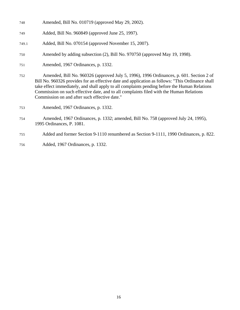- 748 Amended, Bill No. 010719 (approved May 29, 2002).
- 749 Added, Bill No. 960849 (approved June 25, 1997).
- 749.1 Added, Bill No. 070154 (approved November 15, 2007).
- 750 Amended by adding subsection (2), Bill No. 970750 (approved May 19, 1998).
- 751 Amended, 1967 Ordinances, p. 1332.
- 752 Amended, Bill No. 960326 (approved July 5, 1996), 1996 Ordinances, p. 601. Section 2 of Bill No. 960326 provides for an effective date and application as follows: "This Ordinance shall take effect immediately, and shall apply to all complaints pending before the Human Relations Commission on such effective date, and to all complaints filed with the Human Relations Commission on and after such effective date."
- 753 Amended, 1967 Ordinances, p. 1332.
- 754 Amended, 1967 Ordinances, p. 1332; amended, Bill No. 758 (approved July 24, 1995), 1995 Ordinances, P. 1081.
- 755 Added and former Section 9-1110 renumbered as Section 9-1111, 1990 Ordinances, p. 822.
- 756 Added, 1967 Ordinances, p. 1332.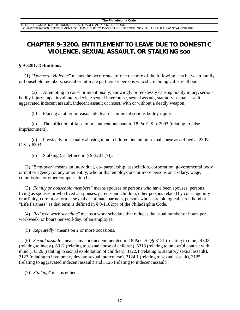### **CHAPTER 9-3200. ENTITLEMENT TO LEAVE DUE TO DOMESTIC VIOLENCE, SEXUAL ASSAULT, OR STALKING soo**

#### **§ 9-3201. Definitions.**

(1) *"Domestic violence"* means the occurrence of one or more of the following acts between family or household members, sexual or intimate partners or persons who share biological parenthood:

(a) Attempting to cause or intentionally, knowingly or recklessly causing bodily injury, serious bodily injury, rape, involuntary deviate sexual intercourse, sexual assault, statutory sexual assault, aggravated indecent assault, indecent assault or incest, with or without a deadly weapon.

(b) Placing another in reasonable fear of imminent serious bodily injury.

(c) The infliction of false imprisonment pursuant to 18 Pa. C.S. § 2903 (relating to false imprisonment).

(d) Physically or sexually abusing minor children, including sexual abuse as defined at 23 Pa. C.S. § 6303.

(e) Stalking (as defined in  $\S$  9-3201.(7)).

(2) *"Employer"* means an individual, co- partnership, association, corporation, governmental body or unit or agency, or any other entity, who or that employs one or more persons on a salary, wage, commission or other compensation basis.

(3) *"Family or household members"* means spouses or persons who have been spouses, persons living as spouses or who lived as spouses, parents and children, other persons related by consanguinity or affinity, current or former sexual or intimate partners, persons who share biological parenthood or "Life Partners" as that term is defined in § 9-1102(p) of the Philadelphia Code.

(4) *"Reduced work schedule"* means a work schedule that reduces the usual number of hours per workweek, or hours per workday, of an employee.

(5) *"Repeatedly"* means on 2 or more occasions.

(6) *"Sexual assault"* means any conduct enumerated in 18 Pa.C.S. §§ 3121 (relating to rape), 4302 (relating to incest), 6312 (relating to sexual abuse of children), 6318 (relating to unlawful contact with minor), 6320 (relating to sexual exploitation of children), 3122.1 (relating to statutory sexual assault), 3123 (relating to involuntary deviate sexual intercourse), 3124.1 (relating to sexual assault), 3125 (relating to aggravated indecent assault) and 3126 (relating to indecent assault).

(7) *"Stalking"* means either: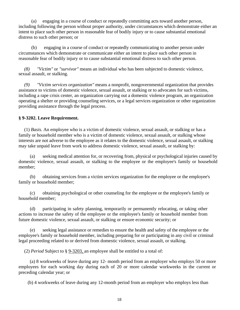(a) engaging in a course of conduct or repeatedly committing acts toward another person, including following the person without proper authority, under circumstances which demonstrate either an intent to place such other person in reasonable fear of bodily injury or to cause substantial emotional distress to such other person; or

(b) engaging in a course of conduct or repeatedly communicating to another person under circumstances which demonstrate or communicate either an intent to place such other person in reasonable fear of bodily injury or to cause substantial emotional distress to such other person.

*(8) "Victim"* or *"survivor"* means an individual who has been subjected to domestic violence, sexual assault, or stalking.

*(9) "Victim services organization"* means a nonprofit, nongovernmental organization that provides assistance to victims of domestic violence, sexual assault, or stalking or to advocates for such victims, including a rape crisis center, an organization carrying out a domestic violence program, an organization operating a shelter or providing counseling services, or a legal services organization or other organization providing assistance through the legal process.

#### **§ 9-3202. Leave Requirement.**

(1) *Basis.* An employee who is a victim of domestic violence, sexual assault, or stalking or has a family or household member who is a victim of domestic violence, sexual assault, or stalking whose interests are not adverse to the employee as it relates to the domestic violence, sexual assault, or stalking may take unpaid leave from work to address domestic violence, sexual assault, or stalking by:

(a) seeking medical attention for, or recovering from, physical or psychological injuries caused by domestic violence, sexual assault, or stalking to the employee or the employee's family or household member;

(b) obtaining services from a victim services organization for the employee or the employee's family or household member;

(c) obtaining psychological or other counseling for the employee or the employee's family or household member;

(d) participating in safety planning, temporarily or permanently relocating, or taking other actions to increase the safety of the employee or the employee's family or household member from future domestic violence, sexual assault, or stalking or ensure economic security; or

seeking legal assistance or remedies to ensure the health and safety of the employee or the employee's family or household member, including preparing for or participating in any civil or criminal legal proceeding related to or derived from domestic violence, sexual assault, or stalking.

(2) *Period* Subject to § 9-3203, an employee shall be entitled to a total of:

(a) 8 workweeks of leave during any 12- month period from an employer who employs 50 or more employees for each working day during each of 20 or more calendar workweeks in the current or preceding calendar year; or

(b) 4 workweeks of leave during any 12-month period from an employer who employs less than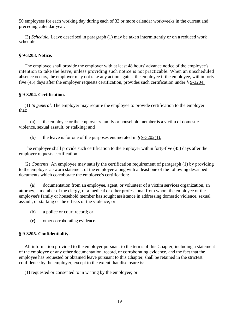50 employees for each working day during each of 33 or more calendar workweeks in the current and preceding calendar year.

(3) *Schedule.* Leave described in paragraph (1) may be taken intermittently or on a reduced work schedule.

#### **§ 9-3203. Notice.**

The employee shall provide the employer with at least 48 hours' advance notice of the employee's intention to take the leave, unless providing such notice is not practicable. When an unscheduled absence occurs, the employer may not take any action against the employee if the employee, within forty five (45) days after the employer requests certification, provides such certification under § 9-3204.

#### **§ 9-3204. Certification.**

(1) *In general.* The employer may require the employee to provide certification to the employer that:

(a) the employee or the employee's family or household member is a victim of domestic violence, sexual assault, or stalking; and

(b) the leave is for one of the purposes enumerated in  $\S$  9-3202(1).

The employee shall provide such certification to the employer within forty-five (45) days after the employer requests certification.

(2) *Contents.* An employee may satisfy the certification requirement of paragraph (1) by providing to the employer a sworn statement of the employee along with at least one of the following described documents which corroborate the employee's certification:

(a) documentation from an employee, agent, or volunteer of a victim services organization, an attorney, a member of the clergy, or a medical or other professional from whom the employee or the employee's family or household member has sought assistance in addressing domestic violence, sexual assault, or stalking or the effects of the violence; or

- (b) a police or court record; or
- **(c)** other corroborating evidence.

#### **§ 9-3205. Confidentiality.**

All information provided to the employer pursuant to the terms of this Chapter, including a statement of the employee or any other documentation, record, or corroborating evidence, and the fact that the employee has requested or obtained leave pursuant to this Chapter, shall be retained in the strictest confidence by the employer, except to the extent that disclosure is:

(1) requested or consented to in writing by the employee; or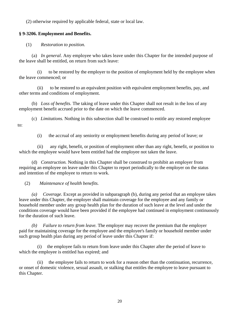(2) otherwise required by applicable federal, state or local law.

#### **§ 9-3206. Employment and Benefits.**

(1) *Restoration to position.* 

(a) *In general.* Any employee who takes leave under this Chapter for the intended purpose of the leave shall be entitled, on return from such leave:

(i) to be restored by the employer to the position of employment held by the employee when the leave commenced; or

(ii) to be restored to an equivalent position with equivalent employment benefits, pay, and other terms and conditions of employment.

(b) *Loss of benefits.* The taking of leave under this Chapter shall not result in the loss of any employment benefit accrued prior to the date on which the leave commenced.

(c) *Limitations.* Nothing in this subsection shall be construed to entitle any restored employee to:

(i) the accrual of any seniority or employment benefits during any period of leave; or

(ii) any right, benefit, or position of employment other than any right, benefit, or position to which the employee would have been entitled had the employee not taken the leave.

(d) *Construction.* Nothing in this Chapter shall be construed to prohibit an employer from requiring an employee on leave under this Chapter to report periodically to the employer on the status and intention of the employee to return to work.

#### (2) *Maintenance of health benefits.*

*(a) Coverage.* Except as provided in subparagraph (b), during any period that an employee takes leave under this Chapter, the employer shall maintain coverage for the employee and any family or household member under any group health plan for the duration of such leave at the level and under the conditions coverage would have been provided if the employee had continued in employment continuously for the duration of such leave.

*(b) Failure to return from leave.* The employer may recover the premium that the employer paid for maintaining coverage for the employee and the employee's family or household member under such group health plan during any period of leave under this Chapter if:

the employee fails to return from leave under this Chapter after the period of leave to which the employee is entitled has expired; and

(ii) the employee fails to return to work for a reason other than the continuation, recurrence, or onset of domestic violence, sexual assault, or stalking that entitles the employee to leave pursuant to this Chapter.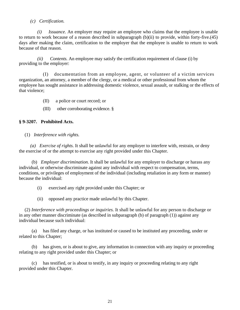#### *(c) Certification.*

*(i) Issuance.* An employer may require an employee who claims that the employee is unable to return to work because of a reason described in subparagraph (b)(ii) to provide, within forty-five.(45) days after making the claim, certification to the employer that the employee is unable to return to work because of that reason.

*(ii) Contents.* An employee may satisfy the certification requirement of clause (i) by providing to the employer:

(I) documentation from an employee, agent, or volunteer of a victim services organization, an attorney, a member of the clergy, or a medical or other professional from whom the employee has sought assistance in addressing domestic violence, sexual assault, or stalking or the effects of that violence;

- (II) a police or court record; or
- (III) other corroborating evidence. §

#### **§ 9-3207. Prohibited Acts.**

(1) *Interference with rights.* 

*(a) Exercise of rights.* It shall be unlawful for any employer to interfere with, restrain, or deny the exercise of or the attempt to exercise any right provided under this Chapter.

(b) *Employer discrimination.* It shall be unlawful for any employer to discharge or harass any individual, or otherwise discriminate against any individual with respect to compensation, terms, conditions, or privileges of employment of the individual (including retaliation in any form or manner) because the individual:

- (i) exercised any right provided under this Chapter; or
- (ii) opposed any practice made unlawful by this Chapter.

(2) *Interference with proceedings or inquiries.* It shall be unlawful for any person to discharge or in any other manner discriminate (as described in subparagraph (b) of paragraph (1)) against any individual because such individual:

(a) has filed any charge, or has instituted or caused to be instituted any proceeding, under or related to this Chapter;

has given, or is about to give, any information in connection with any inquiry or proceeding relating to any right provided under this Chapter; or

has testified, or is about to testify, in any inquiry or proceeding relating to any right provided under this Chapter.